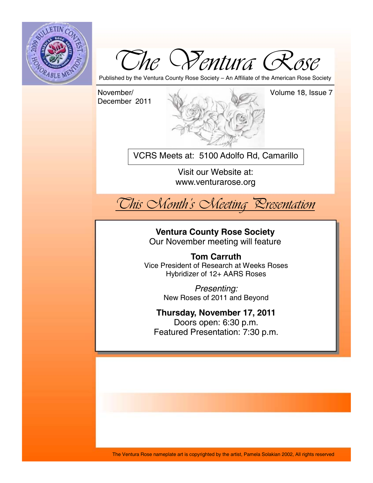



Published by the Ventura County Rose Society – An Affiliate of the American Rose Society

Volume 18, Issue 7

November/ December 2011

VCRS Meets at: 5100 Adolfo Rd, Camarillo

Visit our Website at: www.venturarose.org



**Ventura County Rose Society**  Our November meeting will feature

**Tom Carruth**  Vice President of Research at Weeks Roses Hybridizer of 12+ AARS Roses

> *Presenting:*  New Roses of 2011 and Beyond

**Thursday, November 17, 2011**  Doors open: 6:30 p.m. Featured Presentation: 7:30 p.m.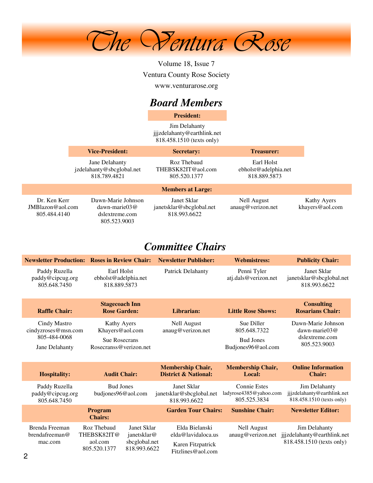

Volume 18, Issue 7 Ventura County Rose Society www.venturarose.org

# *Board Members*

**President:**

Jim Delahanty jjjzdelahanty@earthlink.net 818.458.1510 (texts only)

|                                                     | <b>Vice-President:</b>                                                         | <b>Secretary:</b>                                       | <b>Treasurer:</b><br>Earl Holst<br>ebholst@adelphia.net<br>818.889.5873 |                                |
|-----------------------------------------------------|--------------------------------------------------------------------------------|---------------------------------------------------------|-------------------------------------------------------------------------|--------------------------------|
|                                                     | Jane Delahanty<br>jzdelahanty@sbcglobal.net<br>818.789.4821                    | Roz Thebaud<br>THEBSK82IT@aol.com<br>805.520.1377       |                                                                         |                                |
|                                                     |                                                                                | <b>Members at Large:</b>                                |                                                                         |                                |
| Dr. Ken Kerr<br>$JMB$ lazon@aol.com<br>805.484.4140 | Dawn-Marie Johnson<br>$dawn\text{-}marie03@$<br>dslextreme.com<br>805.523.9003 | Janet Sklar<br>janetsklar@sbcglobal.net<br>818.993.6622 | Nell August<br>anaug@verizon.net                                        | Kathy Ayers<br>khayers@aol.com |

# *Committee Chairs*

|                                                     | <b>Newsletter Production: Roses in Review Chair:</b>     | <b>Newsletter Publisher:</b>                                | <b>Webmistress:</b>                                           | <b>Publicity Chair:</b>                                                   |  |
|-----------------------------------------------------|----------------------------------------------------------|-------------------------------------------------------------|---------------------------------------------------------------|---------------------------------------------------------------------------|--|
| Paddy Ruzella<br>paddy@cipcug.org<br>805.648.7450   | Earl Holst<br>ebholst@adelphia.net<br>818.889.5873       | <b>Patrick Delahanty</b>                                    | Penni Tyler<br>atj.dals@verizon.net                           | Janet Sklar<br>janetsklar@sbcglobal.net<br>818.993.6622                   |  |
| <b>Raffle Chair:</b>                                | <b>Stagecoach Inn</b><br><b>Rose Garden:</b>             | Librarian:                                                  | <b>Little Rose Shows:</b>                                     | <b>Consulting</b><br><b>Rosarians Chair:</b>                              |  |
| Cindy Mastro<br>cindyzroses@msn.com<br>805-484-0068 | Kathy Ayers<br>Khayers@aol.com<br><b>Sue Rosecrans</b>   | <b>Nell August</b><br>anaug@verizon.net                     | Sue Diller<br>805.648.7322<br><b>Bud Jones</b>                | Dawn-Marie Johnson<br>dawn-marie $03@$<br>dslextreme.com                  |  |
| Jane Delahanty                                      | Rosecranss@verizon.net                                   |                                                             | Budjones96@aol.com                                            | 805.523.9003                                                              |  |
| <b>Hospitality:</b>                                 | <b>Audit Chair:</b>                                      | <b>Membership Chair,</b><br><b>District &amp; National:</b> | <b>Membership Chair,</b><br>Local:                            | <b>Online Information</b><br><b>Chair:</b>                                |  |
| Paddy Ruzella<br>paddy@cipcug.org<br>805.648.7450   | <b>Bud Jones</b><br>budjones96@aol.com                   | Janet Sklar<br>janetsklar@sbcglobal.net<br>818.993.6622     | <b>Connie Estes</b><br>ladyrose4385@yahoo.com<br>805.525.3834 | Jim Delahanty<br>jjjzdelahanty@earthlink.net<br>818.458.1510 (texts only) |  |
|                                                     | <b>Program</b><br><b>Chairs:</b>                         | <b>Garden Tour Chairs:</b>                                  | <b>Sunshine Chair:</b>                                        | <b>Newsletter Editor:</b>                                                 |  |
| Brenda Freeman<br>brendafreeman@                    | Roz Thebaud<br>Janet Sklar<br>THEBSK82IT@<br>janetsklar@ | Elda Bielanski<br>elda@lavidaloca.us                        | <b>Nell August</b><br>anaug@verizon.net                       | Jim Delahanty<br>jjjzdelahanty@earthlink.net<br>818.458.1510 (texts only) |  |
| mac.com<br>∩                                        | sbcglobal.net<br>aol.com<br>805.520.1377<br>818.993.6622 | Karen Fitzpatrick<br>Fitzlines@aol.com                      |                                                               |                                                                           |  |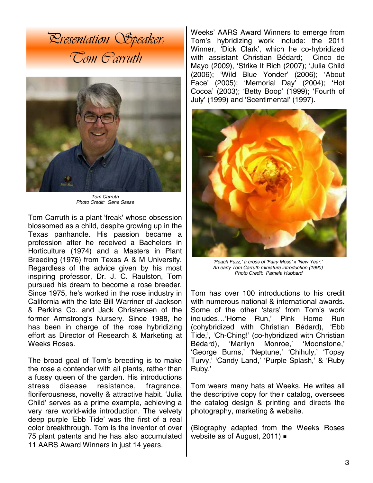



*Tom Carruth Photo Credit: Gene Sasse* 

Tom Carruth is a plant 'freak' whose obsession blossomed as a child, despite growing up in the Texas panhandle. His passion became a profession after he received a Bachelors in Horticulture (1974) and a Masters in Plant Breeding (1976) from Texas A & M University. Regardless of the advice given by his most inspiring professor, Dr. J. C. Raulston, Tom pursued his dream to become a rose breeder. Since 1975, he's worked in the rose industry in California with the late Bill Warriner of Jackson & Perkins Co. and Jack Christensen of the former Armstrong's Nursery. Since 1988, he has been in charge of the rose hybridizing effort as Director of Research & Marketing at Weeks Roses.

The broad goal of Tom's breeding is to make the rose a contender with all plants, rather than a fussy queen of the garden. His introductions stress disease resistance, fragrance, floriferousness, novelty & attractive habit. 'Julia Child' serves as a prime example, achieving a very rare world-wide introduction. The velvety deep purple 'Ebb Tide' was the first of a real color breakthrough. Tom is the inventor of over 75 plant patents and he has also accumulated 11 AARS Award Winners in just 14 years.

Weeks' AARS Award Winners to emerge from Tom's hybridizing work include: the 2011 Winner, 'Dick Clark', which he co-hybridized with assistant Christian Bédard; Cinco de Mayo (2009), 'Strike It Rich (2007); 'Julia Child (2006); 'Wild Blue Yonder' (2006); 'About Face' (2005); 'Memorial Day' (2004); 'Hot Cocoa' (2003); 'Betty Boop' (1999); 'Fourth of July' (1999) and 'Scentimental' (1997).



*'Peach Fuzz,' a cross of 'Fairy Moss' x 'New Year.' An early Tom Carruth miniature introduction (1990) Photo Credit: Pamela Hubbard* 

Tom has over 100 introductions to his credit with numerous national & international awards. Some of the other 'stars' from Tom's work includes…'Home Run,' Pink Home Run (cohybridized with Christian Bédard), 'Ebb Tide,', 'Ch-Ching!' (co-hybridized with Christian Bédard), 'Marilyn Monroe,' 'Moonstone,' 'George Burns,' 'Neptune,' 'Chihuly,' 'Topsy Turvy,' 'Candy Land,' 'Purple Splash,' & 'Ruby Ruby.'

Tom wears many hats at Weeks. He writes all the descriptive copy for their catalog, oversees the catalog design & printing and directs the photography, marketing & website.

(Biography adapted from the Weeks Roses website as of August, 2011)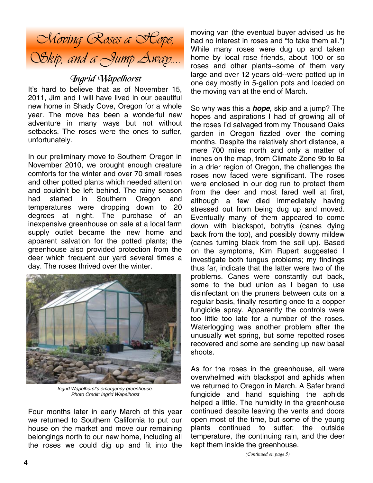

## Ingrid Wapelhorst

It's hard to believe that as of November 15, 2011, Jim and I will have lived in our beautiful new home in Shady Cove, Oregon for a whole year. The move has been a wonderful new adventure in many ways but not without setbacks. The roses were the ones to suffer, unfortunately.

In our preliminary move to Southern Oregon in November 2010, we brought enough creature comforts for the winter and over 70 small roses and other potted plants which needed attention and couldn't be left behind. The rainy season had started in Southern Oregon and temperatures were dropping down to 20 degrees at night. The purchase of an inexpensive greenhouse on sale at a local farm supply outlet became the new home and apparent salvation for the potted plants; the greenhouse also provided protection from the deer which frequent our yard several times a day. The roses thrived over the winter.



*Ingrid Wapelhorst's emergency greenhouse. Photo Credit: Ingrid Wapelhorst* 

Four months later in early March of this year we returned to Southern California to put our house on the market and move our remaining belongings north to our new home, including all the roses we could dig up and fit into the moving van (the eventual buyer advised us he had no interest in roses and "to take them all.") While many roses were dug up and taken home by local rose friends, about 100 or so roses and other plants--some of them very large and over 12 years old--were potted up in one day mostly in 5-gallon pots and loaded on the moving van at the end of March.

So why was this a *hope*, skip and a jump? The hopes and aspirations I had of growing all of the roses I'd salvaged from my Thousand Oaks garden in Oregon fizzled over the coming months. Despite the relatively short distance, a mere 700 miles north and only a matter of inches on the map, from Climate Zone 9b to 8a in a drier region of Oregon, the challenges the roses now faced were significant. The roses were enclosed in our dog run to protect them from the deer and most fared well at first, although a few died immediately having stressed out from being dug up and moved. Eventually many of them appeared to come down with blackspot, botrytis (canes dying back from the top), and possibly downy mildew (canes turning black from the soil up). Based on the symptoms, Kim Rupert suggested I investigate both fungus problems; my findings thus far, indicate that the latter were two of the problems. Canes were constantly cut back, some to the bud union as I began to use disinfectant on the pruners between cuts on a regular basis, finally resorting once to a copper fungicide spray. Apparently the controls were too little too late for a number of the roses. Waterlogging was another problem after the unusually wet spring, but some repotted roses recovered and some are sending up new basal shoots.

As for the roses in the greenhouse, all were overwhelmed with blackspot and aphids when we returned to Oregon in March. A Safer brand fungicide and hand squishing the aphids helped a little. The humidity in the greenhouse continued despite leaving the vents and doors open most of the time, but some of the young plants continued to suffer; the outside temperature, the continuing rain, and the deer kept them inside the greenhouse.

*(Continued on page 5)*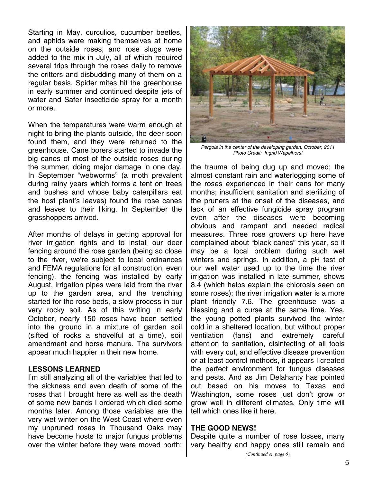Starting in May, curculios, cucumber beetles, and aphids were making themselves at home on the outside roses, and rose slugs were added to the mix in July, all of which required several trips through the roses daily to remove the critters and disbudding many of them on a regular basis. Spider mites hit the greenhouse in early summer and continued despite jets of water and Safer insecticide spray for a month or more.

When the temperatures were warm enough at night to bring the plants outside, the deer soon found them, and they were returned to the greenhouse. Cane borers started to invade the big canes of most of the outside roses during the summer, doing major damage in one day. In September "webworms" (a moth prevalent during rainy years which forms a tent on trees and bushes and whose baby caterpillars eat the host plant's leaves) found the rose canes and leaves to their liking. In September the grasshoppers arrived.

After months of delays in getting approval for river irrigation rights and to install our deer fencing around the rose garden (being so close to the river, we're subject to local ordinances and FEMA regulations for all construction, even fencing), the fencing was installed by early August, irrigation pipes were laid from the river up to the garden area, and the trenching started for the rose beds, a slow process in our very rocky soil. As of this writing in early October, nearly 150 roses have been settled into the ground in a mixture of garden soil (sifted of rocks a shovelful at a time), soil amendment and horse manure. The survivors appear much happier in their new home.

#### **LESSONS LEARNED**

I'm still analyzing all of the variables that led to the sickness and even death of some of the roses that I brought here as well as the death of some new bands I ordered which died some months later. Among those variables are the very wet winter on the West Coast where even my unpruned roses in Thousand Oaks may have become hosts to major fungus problems over the winter before they were moved north;



*Pergola in the center of the developing garden, October, 2011 Photo Credit: Ingrid Wapelhorst* 

the trauma of being dug up and moved; the almost constant rain and waterlogging some of the roses experienced in their cans for many months; insufficient sanitation and sterilizing of the pruners at the onset of the diseases, and lack of an effective fungicide spray program even after the diseases were becoming obvious and rampant and needed radical measures. Three rose growers up here have complained about "black canes" this year, so it may be a local problem during such wet winters and springs. In addition, a pH test of our well water used up to the time the river irrigation was installed in late summer, shows 8.4 (which helps explain the chlorosis seen on some roses); the river irrigation water is a more plant friendly 7.6. The greenhouse was a blessing and a curse at the same time. Yes, the young potted plants survived the winter cold in a sheltered location, but without proper ventilation (fans) and extremely careful attention to sanitation, disinfecting of all tools with every cut, and effective disease prevention or at least control methods, it appears I created the perfect environment for fungus diseases and pests. And as Jim Delahanty has pointed out based on his moves to Texas and Washington, some roses just don't grow or grow well in different climates. Only time will tell which ones like it here.

#### **THE GOOD NEWS!**

Despite quite a number of rose losses, many very healthy and happy ones still remain and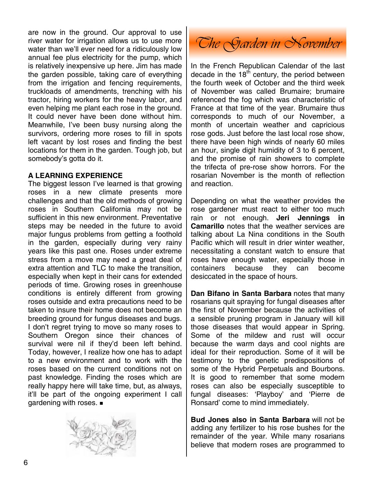are now in the ground. Our approval to use river water for irrigation allows us to use more water than we'll ever need for a ridiculously low annual fee plus electricity for the pump, which is relatively inexpensive up here. Jim has made the garden possible, taking care of everything from the irrigation and fencing requirements, truckloads of amendments, trenching with his tractor, hiring workers for the heavy labor, and even helping me plant each rose in the ground. It could never have been done without him. Meanwhile, I've been busy nursing along the survivors, ordering more roses to fill in spots left vacant by lost roses and finding the best locations for them in the garden. Tough job, but somebody's gotta do it.

#### **A LEARNING EXPERIENCE**

The biggest lesson I've learned is that growing roses in a new climate presents more challenges and that the old methods of growing roses in Southern California may not be sufficient in this new environment. Preventative steps may be needed in the future to avoid major fungus problems from getting a foothold in the garden, especially during very rainy years like this past one. Roses under extreme stress from a move may need a great deal of extra attention and TLC to make the transition, especially when kept in their cans for extended periods of time. Growing roses in greenhouse conditions is entirely different from growing roses outside and extra precautions need to be taken to insure their home does not become an breeding ground for fungus diseases and bugs. I don't regret trying to move so many roses to Southern Oregon since their chances of survival were nil if they'd been left behind. Today, however, I realize how one has to adapt to a new environment and to work with the roses based on the current conditions not on past knowledge. Finding the roses which are really happy here will take time, but, as always, it'll be part of the ongoing experiment I call gardening with roses.  $\blacksquare$ 



*The Garden in November* 

In the French Republican Calendar of the last decade in the  $18<sup>th</sup>$  century, the period between the fourth week of October and the third week of November was called Brumaire; brumaire referenced the fog which was characteristic of France at that time of the year. Brumaire thus corresponds to much of our November, a month of uncertain weather and capricious rose gods. Just before the last local rose show, there have been high winds of nearly 60 miles an hour, single digit humidity of 3 to 6 percent, and the promise of rain showers to complete the trifecta of pre-rose show horrors. For the rosarian November is the month of reflection and reaction.

Depending on what the weather provides the rose gardener must react to either too much rain or not enough. **Jeri Jennings in Camarillo** notes that the weather services are talking about La Nina conditions in the South Pacific which will result in drier winter weather, necessitating a constant watch to ensure that roses have enough water, especially those in containers because they can become desiccated in the space of hours.

**Dan Bifano in Santa Barbara** notes that many rosarians quit spraying for fungal diseases after the first of November because the activities of a sensible pruning program in January will kill those diseases that would appear in Spring. Some of the mildew and rust will occur because the warm days and cool nights are ideal for their reproduction. Some of it will be testimony to the genetic predispositions of some of the Hybrid Perpetuals and Bourbons. It is good to remember that some modern roses can also be especially susceptible to fungal diseases: 'Playboy' and 'Pierre de Ronsard' come to mind immediately.

**Bud Jones also in Santa Barbara** will not be adding any fertilizer to his rose bushes for the remainder of the year. While many rosarians believe that modern roses are programmed to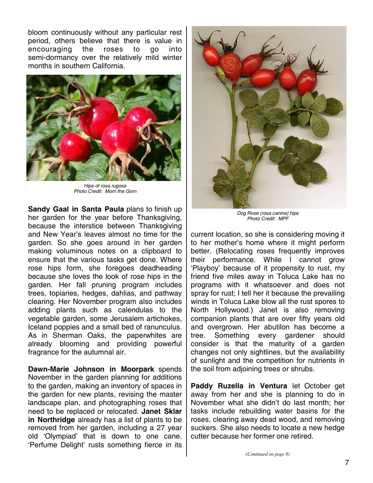bloom continuously without any particular rest period, others believe that there is value in encouraging the roses to go into semi-dormancy over the relatively mild winter months in southern California.



*Hips of rosa rugosa Photo Credit: Morn the Gorn* 

**Sandy Gaal in Santa Paula** plans to finish up her garden for the year before Thanksgiving, because the interstice between Thanksgiving and New Year's leaves almost no time for the garden. So she goes around in her garden making voluminous notes on a clipboard to ensure that the various tasks get done. Where rose hips form, she foregoes deadheading because she loves the look of rose hips in the garden. Her fall pruning program includes trees, topiaries, hedges, dahlias, and pathway clearing. Her November program also includes adding plants such as calendulas to the vegetable garden, some Jerusalem artichokes, Iceland poppies and a small bed of ranunculus. As in Sherman Oaks, the paperwhites are already blooming and providing powerful fragrance for the autumnal air.

**Dawn-Marie Johnson in Moorpark** spends November in the garden planning for additions to the garden, making an inventory of spaces in the garden for new plants, revising the master landscape plan, and photographing roses that need to be replaced or relocated. **Janet Sklar in Northridge** already has a list of plants to be removed from her garden, including a 27 year old 'Olympiad' that is down to one cane. 'Perfume Delight' rusts something fierce in its



*Dog Rose (rosa canina) hips Photo Credit: MPF* 

current location, so she is considering moving it to her mother's home where it might perform better. (Relocating roses frequently improves their performance. While I cannot grow 'Playboy' because of it propensity to rust, my friend five miles away in Toluca Lake has no programs with it whatsoever and does not spray for rust; I tell her it because the prevailing winds in Toluca Lake blow all the rust spores to North Hollywood.) Janet is also removing companion plants that are over fifty years old and overgrown. Her abutilon has become a tree. Something every gardener should consider is that the maturity of a garden changes not only sightlines, but the availability of sunlight and the competition for nutrients in the soil from adjoining trees or shrubs.

**Paddy Ruzella in Ventura** let October get away from her and she is planning to do in November what she didn't do last month; her tasks include rebuilding water basins for the roses, clearing away dead wood, and removing suckers. She also needs to locate a new hedge cutter because her former one retired.

*(Continued on page 8)*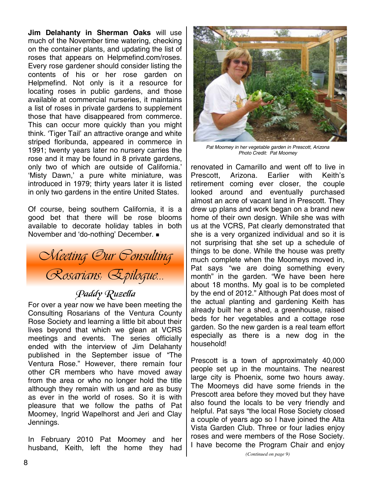**Jim Delahanty in Sherman Oaks** will use much of the November time watering, checking on the container plants, and updating the list of roses that appears on Helpmefind.com/roses. Every rose gardener should consider listing the contents of his or her rose garden on Helpmefind. Not only is it a resource for locating roses in public gardens, and those available at commercial nurseries, it maintains a list of roses in private gardens to supplement those that have disappeared from commerce. This can occur more quickly than you might think. 'Tiger Tail' an attractive orange and white striped floribunda, appeared in commerce in 1991; twenty years later no nursery carries the rose and it may be found in 8 private gardens, only two of which are outside of California.' 'Misty Dawn,' a pure white miniature, was introduced in 1979; thirty years later it is listed in only two gardens in the entire United States.

Of course, being southern California, it is a good bet that there will be rose blooms available to decorate holiday tables in both November and 'do-nothing' December.

*Meeting Our Consulting Rosarians: Epilogue…* 

# Paddy Ruzella

For over a year now we have been meeting the Consulting Rosarians of the Ventura County Rose Society and learning a little bit about their lives beyond that which we glean at VCRS meetings and events. The series officially ended with the interview of Jim Delahanty published in the September issue of "The Ventura Rose." However, there remain four other CR members who have moved away from the area or who no longer hold the title although they remain with us and are as busy as ever in the world of roses. So it is with pleasure that we follow the paths of Pat Moomey, Ingrid Wapelhorst and Jeri and Clay Jennings.

In February 2010 Pat Moomey and her husband, Keith, left the home they had



*Pat Moomey in her vegetable garden in Prescott, Arizona Photo Credit: Pat Moomey* 

renovated in Camarillo and went off to live in Prescott, Arizona. Earlier with Keith's retirement coming ever closer, the couple looked around and eventually purchased almost an acre of vacant land in Prescott. They drew up plans and work began on a brand new home of their own design. While she was with us at the VCRS, Pat clearly demonstrated that she is a very organized individual and so it is not surprising that she set up a schedule of things to be done. While the house was pretty much complete when the Moomeys moved in, Pat says "we are doing something every month" in the garden. "We have been here about 18 months. My goal is to be completed by the end of 2012." Although Pat does most of the actual planting and gardening Keith has already built her a shed, a greenhouse, raised beds for her vegetables and a cottage rose garden. So the new garden is a real team effort especially as there is a new dog in the household!

Prescott is a town of approximately 40,000 people set up in the mountains. The nearest large city is Phoenix, some two hours away. The Moomeys did have some friends in the Prescott area before they moved but they have also found the locals to be very friendly and helpful. Pat says "the local Rose Society closed a couple of years ago so I have joined the Alta Vista Garden Club. Three or four ladies enjoy roses and were members of the Rose Society. I have become the Program Chair and enjoy

*(Continued on page 9)*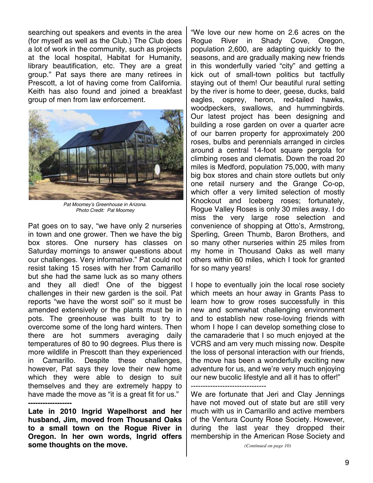searching out speakers and events in the area (for myself as well as the Club.) The Club does a lot of work in the community, such as projects at the local hospital, Habitat for Humanity, library beautification, etc. They are a great group." Pat says there are many retirees in Prescott, a lot of having come from California. Keith has also found and joined a breakfast group of men from law enforcement.



*Pat Moomey's Greenhouse in Arizona. Photo Credit: Pat Moomey* 

Pat goes on to say, "we have only 2 nurseries in town and one grower. Then we have the big box stores. One nursery has classes on Saturday mornings to answer questions about our challenges. Very informative." Pat could not resist taking 15 roses with her from Camarillo but she had the same luck as so many others and they all died! One of the biggest challenges in their new garden is the soil. Pat reports "we have the worst soil" so it must be amended extensively or the plants must be in pots. The greenhouse was built to try to overcome some of the long hard winters. Then there are hot summers averaging daily temperatures of 80 to 90 degrees. Plus there is more wildlife in Prescott than they experienced in Camarillo. Despite these challenges, however, Pat says they love their new home which they were able to design to suit themselves and they are extremely happy to have made the move as "it is a great fit for us."

**------------------ Late in 2010 Ingrid Wapelhorst and her husband, Jim, moved from Thousand Oaks to a small town on the Rogue River in Oregon. In her own words, Ingrid offers some thoughts on the move.** 

"We love our new home on 2.6 acres on the Rogue River in Shady Cove, Oregon, population 2,600, are adapting quickly to the seasons, and are gradually making new friends in this wonderfully varied "city" and getting a kick out of small-town politics but tactfully staying out of them! Our beautiful rural setting by the river is home to deer, geese, ducks, bald eagles, osprey, heron, red-tailed hawks, woodpeckers, swallows, and hummingbirds. Our latest project has been designing and building a rose garden on over a quarter acre of our barren property for approximately 200 roses, bulbs and perennials arranged in circles around a central 14-foot square pergola for climbing roses and clematis. Down the road 20 miles is Medford, population 75,000, with many big box stores and chain store outlets but only one retail nursery and the Grange Co-op, which offer a very limited selection of mostly Knockout and Iceberg roses; fortunately, Rogue Valley Roses is only 30 miles away. I do miss the very large rose selection and convenience of shopping at Otto's, Armstrong, Sperling, Green Thumb, Baron Brothers, and so many other nurseries within 25 miles from my home in Thousand Oaks as well many others within 60 miles, which I took for granted for so many years!

I hope to eventually join the local rose society which meets an hour away in Grants Pass to learn how to grow roses successfully in this new and somewhat challenging environment and to establish new rose-loving friends with whom I hope I can develop something close to the camaraderie that I so much enjoyed at the VCRS and am very much missing now. Despite the loss of personal interaction with our friends, the move has been a wonderfully exciting new adventure for us, and we're very much enjoying our new bucolic lifestyle and all it has to offer!"

-------------------------------

We are fortunate that Jeri and Clay Jennings have not moved out of state but are still very much with us in Camarillo and active members of the Ventura County Rose Society. However, during the last year they dropped their membership in the American Rose Society and

*(Continued on page 10)*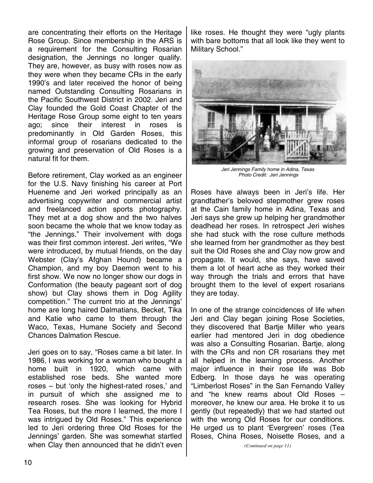are concentrating their efforts on the Heritage Rose Group. Since membership in the ARS is a requirement for the Consulting Rosarian designation, the Jennings no longer qualify. They are, however, as busy with roses now as they were when they became CRs in the early 1990's and later received the honor of being named Outstanding Consulting Rosarians in the Pacific Southwest District in 2002. Jeri and Clay founded the Gold Coast Chapter of the Heritage Rose Group some eight to ten years ago; since their interest in roses is predominantly in Old Garden Roses, this informal group of rosarians dedicated to the growing and preservation of Old Roses is a natural fit for them.

Before retirement, Clay worked as an engineer for the U.S. Navy finishing his career at Port Hueneme and Jeri worked principally as an advertising copywriter and commercial artist and freelanced action sports photography. They met at a dog show and the two halves soon became the whole that we know today as "the Jennings." Their involvement with dogs was their first common interest. Jeri writes, "We were introduced, by mutual friends, on the day Webster (Clay's Afghan Hound) became a Champion, and my boy Daemon went to his first show. We now no longer show our dogs in Conformation (the beauty pageant sort of dog show) but Clay shows them in Dog Agility competition." The current trio at the Jennings' home are long haired Dalmatians, Becket, Tika and Katie who came to them through the Waco, Texas, Humane Society and Second Chances Dalmation Rescue.

Jeri goes on to say, "Roses came a bit later. In 1986, I was working for a woman who bought a home built in 1920, which came with established rose beds. She wanted more roses – but 'only the highest-rated roses,' and in pursuit of which she assigned me to research roses. She was looking for Hybrid Tea Roses, but the more I learned, the more I was intrigued by Old Roses." This experience led to Jeri ordering three Old Roses for the Jennings' garden. She was somewhat startled when Clay then announced that he didn't even

like roses. He thought they were "ugly plants with bare bottoms that all look like they went to Military School."



*Jeri Jennings Family home in Adina, Texas Photo Credit: Jeri Jennings* 

Roses have always been in Jeri's life. Her grandfather's beloved stepmother grew roses at the Cain family home in Adina, Texas and Jeri says she grew up helping her grandmother deadhead her roses. In retrospect Jeri wishes she had stuck with the rose culture methods she learned from her grandmother as they best suit the Old Roses she and Clay now grow and propagate. It would, she says, have saved them a lot of heart ache as they worked their way through the trials and errors that have brought them to the level of expert rosarians they are today.

In one of the strange coincidences of life when Jeri and Clay began joining Rose Societies, they discovered that Bartje Miller who years earlier had mentored Jeri in dog obedience was also a Consulting Rosarian. Bartje, along with the CRs and non CR rosarians they met all helped in the learning process. Another major influence in their rose life was Bob Edberg. In those days he was operating "Limberlost Roses" in the San Fernando Valley and "he knew reams about Old Roses – moreover, he knew our area. He broke it to us gently (but repeatedly) that we had started out with the wrong Old Roses for our conditions. He urged us to plant 'Evergreen' roses (Tea Roses, China Roses, Noisette Roses, and a

*<sup>(</sup>Continued on page 11)*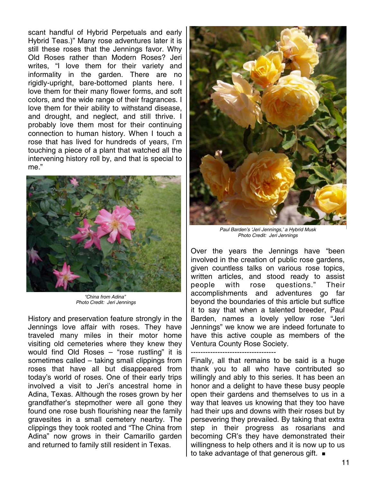scant handful of Hybrid Perpetuals and early Hybrid Teas.)" Many rose adventures later it is still these roses that the Jennings favor. Why Old Roses rather than Modern Roses? Jeri writes, "I love them for their variety and informality in the garden. There are no rigidly-upright, bare-bottomed plants here. I love them for their many flower forms, and soft colors, and the wide range of their fragrances. I love them for their ability to withstand disease, and drought, and neglect, and still thrive. I probably love them most for their continuing connection to human history. When I touch a rose that has lived for hundreds of years, I'm touching a piece of a plant that watched all the intervening history roll by, and that is special to me."



*"China from Adina" Photo Credit: Jeri Jennings* 

History and preservation feature strongly in the Jennings love affair with roses. They have traveled many miles in their motor home visiting old cemeteries where they knew they would find Old Roses – "rose rustling" it is sometimes called – taking small clippings from roses that have all but disappeared from today's world of roses. One of their early trips involved a visit to Jeri's ancestral home in Adina, Texas. Although the roses grown by her grandfather's stepmother were all gone they found one rose bush flourishing near the family gravesites in a small cemetery nearby. The clippings they took rooted and "The China from Adina" now grows in their Camarillo garden and returned to family still resident in Texas.



*Paul Barden's 'Jeri Jennings,' a Hybrid Musk Photo Credit: Jeri Jennings* 

Over the years the Jennings have "been involved in the creation of public rose gardens, given countless talks on various rose topics, written articles, and stood ready to assist people with rose questions." Their accomplishments and adventures go far beyond the boundaries of this article but suffice it to say that when a talented breeder, Paul Barden, names a lovely yellow rose "Jeri Jennings" we know we are indeed fortunate to have this active couple as members of the Ventura County Rose Society.

-----------------------------------

Finally, all that remains to be said is a huge thank you to all who have contributed so willingly and ably to this series. It has been an honor and a delight to have these busy people open their gardens and themselves to us in a way that leaves us knowing that they too have had their ups and downs with their roses but by persevering they prevailed. By taking that extra step in their progress as rosarians and becoming CR's they have demonstrated their willingness to help others and it is now up to us to take advantage of that generous gift.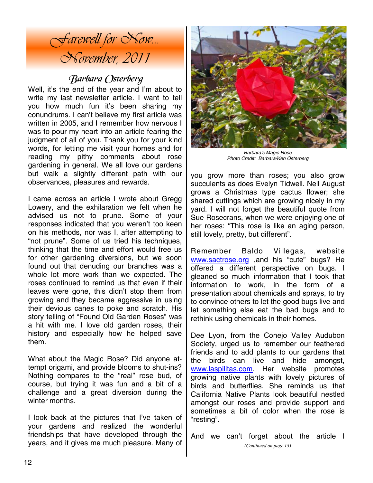

# Barbara Osterberg

Well, it's the end of the year and I'm about to write my last newsletter article. I want to tell you how much fun it's been sharing my conundrums. I can't believe my first article was written in 2005, and I remember how nervous I was to pour my heart into an article fearing the judgment of all of you. Thank you for your kind words, for letting me visit your homes and for reading my pithy comments about rose gardening in general. We all love our gardens but walk a slightly different path with our observances, pleasures and rewards.

I came across an article I wrote about Gregg Lowery, and the exhilaration we felt when he advised us not to prune. Some of your responses indicated that you weren't too keen on his methods, nor was I, after attempting to "not prune". Some of us tried his techniques, thinking that the time and effort would free us for other gardening diversions, but we soon found out that denuding our branches was a whole lot more work than we expected. The roses continued to remind us that even if their leaves were gone, this didn't stop them from growing and they became aggressive in using their devious canes to poke and scratch. His story telling of "Found Old Garden Roses" was a hit with me. I love old garden roses, their history and especially how he helped save them.

What about the Magic Rose? Did anyone attempt origami, and provide blooms to shut-ins? Nothing compares to the "real" rose bud, of course, but trying it was fun and a bit of a challenge and a great diversion during the winter months.

I look back at the pictures that I've taken of your gardens and realized the wonderful friendships that have developed through the years, and it gives me much pleasure. Many of



*Barbara's Magic Rose Photo Credit: Barbara/Ken Osterberg* 

you grow more than roses; you also grow succulents as does Evelyn Tidwell. Nell August grows a Christmas type cactus flower; she shared cuttings which are growing nicely in my yard. I will not forget the beautiful quote from Sue Rosecrans, when we were enjoying one of her roses: "This rose is like an aging person, still lovely, pretty, but different".

Remember Baldo Villegas, website www.sactrose.org ,and his "cute" bugs? He offered a different perspective on bugs. I gleaned so much information that I took that information to work, in the form of a presentation about chemicals and sprays, to try to convince others to let the good bugs live and let something else eat the bad bugs and to rethink using chemicals in their homes.

Dee Lyon, from the Conejo Valley Audubon Society, urged us to remember our feathered friends and to add plants to our gardens that the birds can live and hide amongst, www.laspilitas.com. Her website promotes growing native plants with lovely pictures of birds and butterflies. She reminds us that California Native Plants look beautiful nestled amongst our roses and provide support and sometimes a bit of color when the rose is "resting".

And we can't forget about the article I *(Continued on page 13)*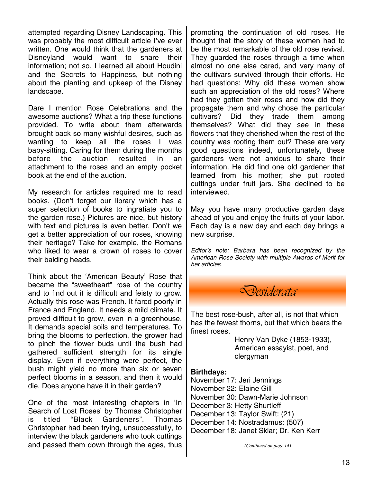attempted regarding Disney Landscaping. This was probably the most difficult article I've ever written. One would think that the gardeners at Disneyland would want to share their information; not so. I learned all about Houdini and the Secrets to Happiness, but nothing about the planting and upkeep of the Disney landscape.

Dare I mention Rose Celebrations and the awesome auctions? What a trip these functions provided. To write about them afterwards brought back so many wishful desires, such as wanting to keep all the roses I was baby-sitting. Caring for them during the months before the auction resulted in an attachment to the roses and an empty pocket book at the end of the auction.

My research for articles required me to read books. (Don't forget our library which has a super selection of books to ingratiate you to the garden rose.) Pictures are nice, but history with text and pictures is even better. Don't we get a better appreciation of our roses, knowing their heritage? Take for example, the Romans who liked to wear a crown of roses to cover their balding heads.

Think about the 'American Beauty' Rose that became the "sweetheart" rose of the country and to find out it is difficult and feisty to grow. Actually this rose was French. It fared poorly in France and England. It needs a mild climate. It proved difficult to grow, even in a greenhouse. It demands special soils and temperatures. To bring the blooms to perfection, the grower had to pinch the flower buds until the bush had gathered sufficient strength for its single display. Even if everything were perfect, the bush might yield no more than six or seven perfect blooms in a season, and then it would die. Does anyone have it in their garden?

One of the most interesting chapters in 'In Search of Lost Roses' by Thomas Christopher is titled "Black Gardeners". Thomas Christopher had been trying, unsuccessfully, to interview the black gardeners who took cuttings and passed them down through the ages, thus promoting the continuation of old roses. He thought that the story of these women had to be the most remarkable of the old rose revival. They guarded the roses through a time when almost no one else cared, and very many of the cultivars survived through their efforts. He had questions: Why did these women show such an appreciation of the old roses? Where had they gotten their roses and how did they propagate them and why chose the particular cultivars? Did they trade them among themselves? What did they see in these flowers that they cherished when the rest of the country was rooting them out? These are very good questions indeed, unfortunately, these gardeners were not anxious to share their information. He did find one old gardener that learned from his mother; she put rooted cuttings under fruit jars. She declined to be interviewed.

May you have many productive garden days ahead of you and enjoy the fruits of your labor. Each day is a new day and each day brings a new surprise.

*Editor's note: Barbara has been recognized by the American Rose Society with multiple Awards of Merit for her articles.*



The best rose-bush, after all, is not that which has the fewest thorns, but that which bears the finest roses.

> Henry Van Dyke (1853-1933), American essayist, poet, and clergyman

#### **Birthdays:**

November 17: Jeri Jennings November 22: Elaine Gill November 30: Dawn-Marie Johnson December 3: Hetty Shurtleff December 13: Taylor Swift: (21) December 14: Nostradamus: (507) December 18: Janet Sklar; Dr. Ken Kerr

*(Continued on page 14)*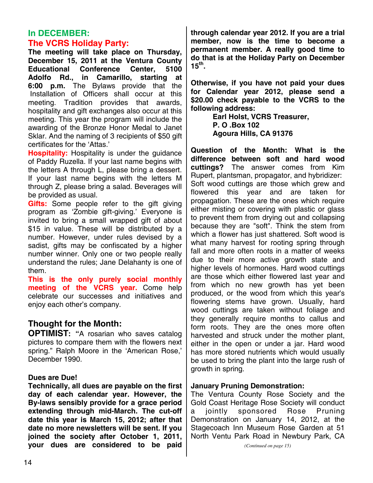## **In DECEMBER: The VCRS Holiday Party:**

**The meeting will take place on Thursday, December 15, 2011 at the Ventura County Educational Conference Center, 5100 Adolfo Rd., in Camarillo, starting at 6:00 p.m.** The Bylaws provide that the Installation of Officers shall occur at this meeting. Tradition provides that awards, hospitality and gift exchanges also occur at this meeting. This year the program will include the awarding of the Bronze Honor Medal to Janet Sklar. And the naming of 3 recipients of \$50 gift certificates for the 'Attas.'

**Hospitality:** Hospitality is under the guidance of Paddy Ruzella. If your last name begins with the letters A through L, please bring a dessert. If your last name begins with the letters M through Z, please bring a salad. Beverages will be provided as usual.

**Gifts:** Some people refer to the gift giving program as 'Zombie gift-giving.' Everyone is invited to bring a small wrapped gift of about \$15 in value. These will be distributed by a number. However, under rules devised by a sadist, gifts may be confiscated by a higher number winner. Only one or two people really understand the rules; Jane Delahanty is one of them.

**This is the only purely social monthly meeting of the VCRS year.** Come help celebrate our successes and initiatives and enjoy each other's company.

## **Thought for the Month:**

**OPTIMIST: "**A rosarian who saves catalog pictures to compare them with the flowers next spring." Ralph Moore in the 'American Rose,' December 1990.

### **Dues are Due!**

**Technically, all dues are payable on the first day of each calendar year. However, the By-laws sensibly provide for a grace period extending through mid-March. The cut-off date this year is March 15, 2012; after that date no more newsletters will be sent. If you joined the society after October 1, 2011, your dues are considered to be paid**  **through calendar year 2012. If you are a trial member, now is the time to become a permanent member. A really good time to do that is at the Holiday Party on December**   $15^{th}$ .

**Otherwise, if you have not paid your dues for Calendar year 2012, please send a \$20.00 check payable to the VCRS to the following address:** 

> **Earl Holst, VCRS Treasurer, P. O .Box 102 Agoura Hills, CA 91376**

**Question of the Month: What is the difference between soft and hard wood cuttings?** The answer comes from Kim Rupert, plantsman, propagator, and hybridizer: Soft wood cuttings are those which grew and flowered this year and are taken for propagation. These are the ones which require either misting or covering with plastic or glass to prevent them from drying out and collapsing because they are "soft". Think the stem from which a flower has just shattered. Soft wood is what many harvest for rooting spring through fall and more often roots in a matter of weeks due to their more active growth state and higher levels of hormones. Hard wood cuttings are those which either flowered last year and from which no new growth has yet been produced, or the wood from which this year's flowering stems have grown. Usually, hard wood cuttings are taken without foliage and they generally require months to callus and form roots. They are the ones more often harvested and struck under the mother plant, either in the open or under a jar. Hard wood has more stored nutrients which would usually be used to bring the plant into the large rush of growth in spring.

### **January Pruning Demonstration:**

The Ventura County Rose Society and the Gold Coast Heritage Rose Society will conduct a jointly sponsored Rose Pruning Demonstration on January 14, 2012, at the Stagecoach Inn Museum Rose Garden at 51 North Ventu Park Road in Newbury Park, CA

*(Continued on page 15)*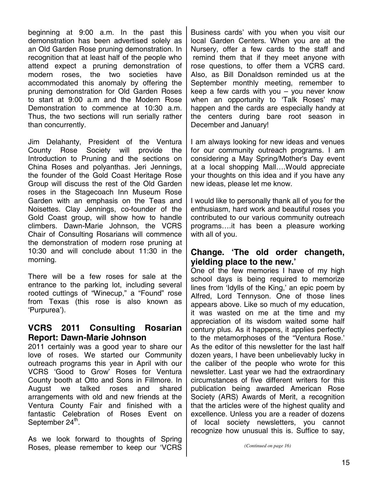beginning at 9:00 a.m. In the past this demonstration has been advertised solely as an Old Garden Rose pruning demonstration. In recognition that at least half of the people who attend expect a pruning demonstration of modern roses, the two societies have accommodated this anomaly by offering the pruning demonstration for Old Garden Roses to start at 9:00 a.m and the Modern Rose Demonstration to commence at 10:30 a.m. Thus, the two sections will run serially rather than concurrently.

Jim Delahanty, President of the Ventura County Rose Society will provide the Introduction to Pruning and the sections on China Roses and polyanthas. Jeri Jennings, the founder of the Gold Coast Heritage Rose Group will discuss the rest of the Old Garden roses in the Stagecoach Inn Museum Rose Garden with an emphasis on the Teas and Noisettes. Clay Jennings, co-founder of the Gold Coast group, will show how to handle climbers. Dawn-Marie Johnson, the VCRS Chair of Consulting Rosarians will commence the demonstration of modern rose pruning at 10:30 and will conclude about 11:30 in the morning.

There will be a few roses for sale at the entrance to the parking lot, including several rooted cuttings of "Winecup," a "Found" rose from Texas (this rose is also known as 'Purpurea').

## **VCRS 2011 Consulting Rosarian Report: Dawn-Marie Johnson**

2011 certainly was a good year to share our love of roses. We started our Community outreach programs this year in April with our VCRS 'Good to Grow' Roses for Ventura County booth at Otto and Sons in Fillmore. In August we talked roses and shared arrangements with old and new friends at the Ventura County Fair and finished with a fantastic Celebration of Roses Event on September 24<sup>th</sup>.

As we look forward to thoughts of Spring Roses, please remember to keep our 'VCRS

Business cards' with you when you visit our local Garden Centers. When you are at the Nursery, offer a few cards to the staff and remind them that if they meet anyone with rose questions, to offer them a VCRS card. Also, as Bill Donaldson reminded us at the September monthly meeting, remember to keep a few cards with you – you never know when an opportunity to 'Talk Roses' may happen and the cards are especially handy at the centers during bare root season in December and January!

I am always looking for new ideas and venues for our community outreach programs. I am considering a May Spring/Mother's Day event at a local shopping Mall….Would appreciate your thoughts on this idea and if you have any new ideas, please let me know.

I would like to personally thank all of you for the enthusiasm, hard work and beautiful roses you contributed to our various community outreach programs….it has been a pleasure working with all of you.

### **Change. 'The old order changeth, yielding place to the new.'**

One of the few memories I have of my high school days is being required to memorize lines from 'Idylls of the King,' an epic poem by Alfred, Lord Tennyson. One of those lines appears above. Like so much of my education, it was wasted on me at the time and my appreciation of its wisdom waited some half century plus. As it happens, it applies perfectly to the metamorphoses of the "Ventura Rose.' As the editor of this newsletter for the last half dozen years, I have been unbelievably lucky in the caliber of the people who wrote for this newsletter. Last year we had the extraordinary circumstances of five different writers for this publication being awarded American Rose Society (ARS) Awards of Merit, a recognition that the articles were of the highest quality and excellence. Unless you are a reader of dozens of local society newsletters, you cannot recognize how unusual this is. Suffice to say,

*(Continued on page 16)*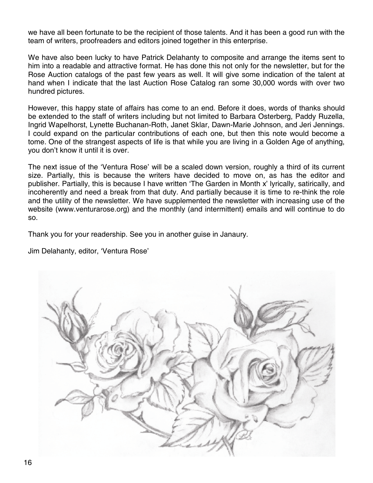we have all been fortunate to be the recipient of those talents. And it has been a good run with the team of writers, proofreaders and editors joined together in this enterprise.

We have also been lucky to have Patrick Delahanty to composite and arrange the items sent to him into a readable and attractive format. He has done this not only for the newsletter, but for the Rose Auction catalogs of the past few years as well. It will give some indication of the talent at hand when I indicate that the last Auction Rose Catalog ran some 30,000 words with over two hundred pictures.

However, this happy state of affairs has come to an end. Before it does, words of thanks should be extended to the staff of writers including but not limited to Barbara Osterberg, Paddy Ruzella, Ingrid Wapelhorst, Lynette Buchanan-Roth, Janet Sklar, Dawn-Marie Johnson, and Jeri Jennings. I could expand on the particular contributions of each one, but then this note would become a tome. One of the strangest aspects of life is that while you are living in a Golden Age of anything, you don't know it until it is over.

The next issue of the 'Ventura Rose' will be a scaled down version, roughly a third of its current size. Partially, this is because the writers have decided to move on, as has the editor and publisher. Partially, this is because I have written 'The Garden in Month x' lyrically, satirically, and incoherently and need a break from that duty. And partially because it is time to re-think the role and the utility of the newsletter. We have supplemented the newsletter with increasing use of the website (www.venturarose.org) and the monthly (and intermittent) emails and will continue to do so.

Thank you for your readership. See you in another guise in Janaury.

Jim Delahanty, editor, 'Ventura Rose'